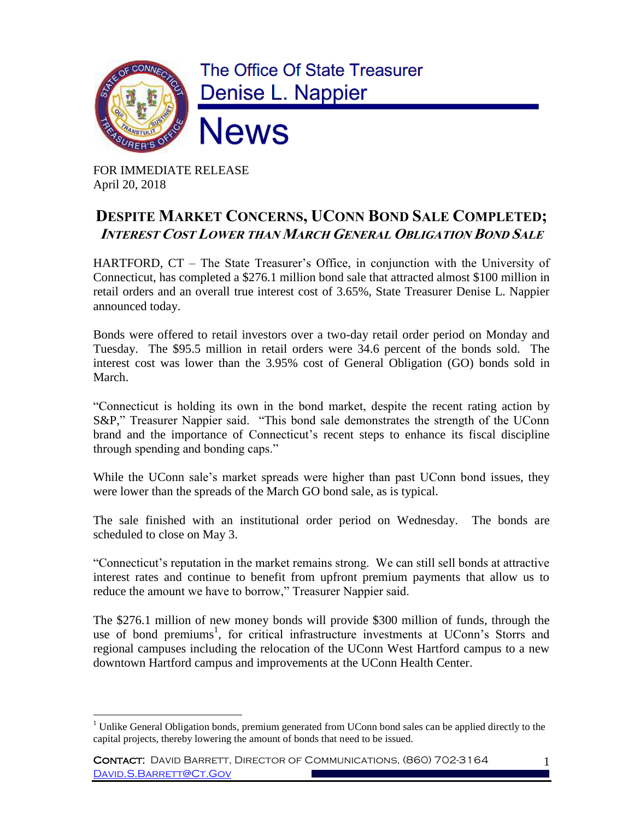

FOR IMMEDIATE RELEASE April 20, 2018

## **DESPITE MARKET CONCERNS, UCONN BOND SALE COMPLETED; INTEREST COST LOWER THAN MARCH GENERAL OBLIGATION BOND SALE**

HARTFORD, CT – The State Treasurer's Office, in conjunction with the University of Connecticut, has completed a \$276.1 million bond sale that attracted almost \$100 million in retail orders and an overall true interest cost of 3.65%, State Treasurer Denise L. Nappier announced today.

Bonds were offered to retail investors over a two-day retail order period on Monday and Tuesday. The \$95.5 million in retail orders were 34.6 percent of the bonds sold. The interest cost was lower than the 3.95% cost of General Obligation (GO) bonds sold in March.

"Connecticut is holding its own in the bond market, despite the recent rating action by S&P," Treasurer Nappier said. "This bond sale demonstrates the strength of the UConn brand and the importance of Connecticut's recent steps to enhance its fiscal discipline through spending and bonding caps."

While the UConn sale's market spreads were higher than past UConn bond issues, they were lower than the spreads of the March GO bond sale, as is typical.

The sale finished with an institutional order period on Wednesday. The bonds are scheduled to close on May 3.

"Connecticut's reputation in the market remains strong. We can still sell bonds at attractive interest rates and continue to benefit from upfront premium payments that allow us to reduce the amount we have to borrow," Treasurer Nappier said.

The \$276.1 million of new money bonds will provide \$300 million of funds, through the use of bond premiums<sup>1</sup>, for critical infrastructure investments at UConn's Storrs and regional campuses including the relocation of the UConn West Hartford campus to a new downtown Hartford campus and improvements at the UConn Health Center.

 $\overline{a}$  $1$  Unlike General Obligation bonds, premium generated from UConn bond sales can be applied directly to the capital projects, thereby lowering the amount of bonds that need to be issued.